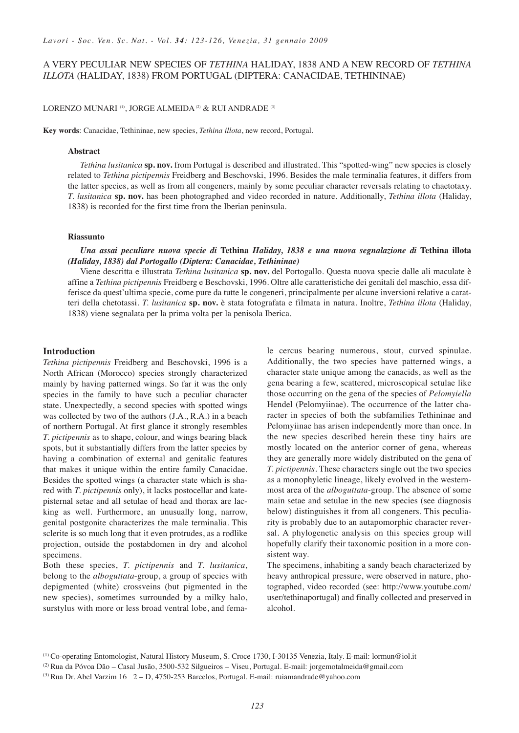# A VERY PECULIAR NEW SPECIES OF *TETHINA* HALIDAY, 1838 AND A NEW RECORD OF *TETHINA ILLOTA* (HALIDAY, 1838) FROM PORTUGAL (DIPTERA: CANACIDAE, TETHININAE)

# LORENZO MUNARI<sup>(1)</sup>, JORGE ALMEIDA<sup>(2)</sup> & RUI ANDRADE<sup>(3)</sup>

**Key words**: Canacidae, Tethininae, new species, *Tethina illota*, new record, Portugal.

### **Abstract**

*Tethina lusitanica* **sp. nov.** from Portugal is described and illustrated. This "spotted-wing" new species is closely related to *Tethina pictipennis* Freidberg and Beschovski, 1996. Besides the male terminalia features, it differs from the latter species, as well as from all congeners, mainly by some peculiar character reversals relating to chaetotaxy. *T. lusitanica* **sp. nov.** has been photographed and video recorded in nature. Additionally, *Tethina illota* (Haliday, 1838) is recorded for the first time from the Iberian peninsula.

### **Riassunto**

*Una assai peculiare nuova specie di* **Tethina** *Haliday, 1838 e una nuova segnalazione di* **Tethina illota** *(Haliday, 1838) dal Portogallo (Diptera: Canacidae, Tethininae)*

Viene descritta e illustrata *Tethina lusitanica* **sp. nov.** del Portogallo. Questa nuova specie dalle ali maculate è affine a *Tethina pictipennis* Freidberg e Beschovski, 1996. Oltre alle caratteristiche dei genitali del maschio, essa differisce da quest'ultima specie, come pure da tutte le congeneri, principalmente per alcune inversioni relative a caratteri della chetotassi. *T. lusitanica* **sp. nov.** è stata fotografata e filmata in natura. Inoltre, *Tethina illota* (Haliday, 1838) viene segnalata per la prima volta per la penisola Iberica.

#### **Introduction**

*Tethina pictipennis* Freidberg and Beschovski, 1996 is a North African (Morocco) species strongly characterized mainly by having patterned wings. So far it was the only species in the family to have such a peculiar character state. Unexpectedly, a second species with spotted wings was collected by two of the authors (J.A., R.A.) in a beach of northern Portugal. At first glance it strongly resembles *T. pictipennis* as to shape, colour, and wings bearing black spots, but it substantially differs from the latter species by having a combination of external and genitalic features that makes it unique within the entire family Canacidae. Besides the spotted wings (a character state which is shared with *T. pictipennis* only), it lacks postocellar and katepisternal setae and all setulae of head and thorax are lacking as well. Furthermore, an unusually long, narrow, genital postgonite characterizes the male terminalia. This sclerite is so much long that it even protrudes, as a rodlike projection, outside the postabdomen in dry and alcohol specimens.

Both these species, *T. pictipennis* and *T. lusitanica*, belong to the *alboguttata*-group, a group of species with depigmented (white) crossveins (but pigmented in the new species), sometimes surrounded by a milky halo, surstylus with more or less broad ventral lobe, and female cercus bearing numerous, stout, curved spinulae. Additionally, the two species have patterned wings, a character state unique among the canacids, as well as the gena bearing a few, scattered, microscopical setulae like those occurring on the gena of the species of *Pelomyiella* Hendel (Pelomyiinae). The occurrence of the latter character in species of both the subfamilies Tethininae and Pelomyiinae has arisen independently more than once. In the new species described herein these tiny hairs are mostly located on the anterior corner of gena, whereas they are generally more widely distributed on the gena of *T. pictipennis*. These characters single out the two species as a monophyletic lineage, likely evolved in the westernmost area of the *alboguttata*-group. The absence of some main setae and setulae in the new species (see diagnosis below) distinguishes it from all congeners. This peculiarity is probably due to an autapomorphic character reversal. A phylogenetic analysis on this species group will hopefully clarify their taxonomic position in a more consistent way.

The specimens, inhabiting a sandy beach characterized by heavy anthropical pressure, were observed in nature, photographed, video recorded (see: http://www.youtube.com/ user/tethinaportugal) and finally collected and preserved in alcohol.

<sup>(1)</sup> Co-operating Entomologist, Natural History Museum, S. Croce 1730, I-30135 Venezia, Italy. E-mail: lormun@iol.it

<sup>(2)</sup> Rua da Póvoa Dão – Casal Jusão, 3500-532 Silgueiros – Viseu, Portugal. E-mail: jorgemotalmeida@gmail.com

<sup>&</sup>lt;sup>(3)</sup> Rua Dr. Abel Varzim 16  $2 - D$ , 4750-253 Barcelos, Portugal. E-mail: ruiamandrade@yahoo.com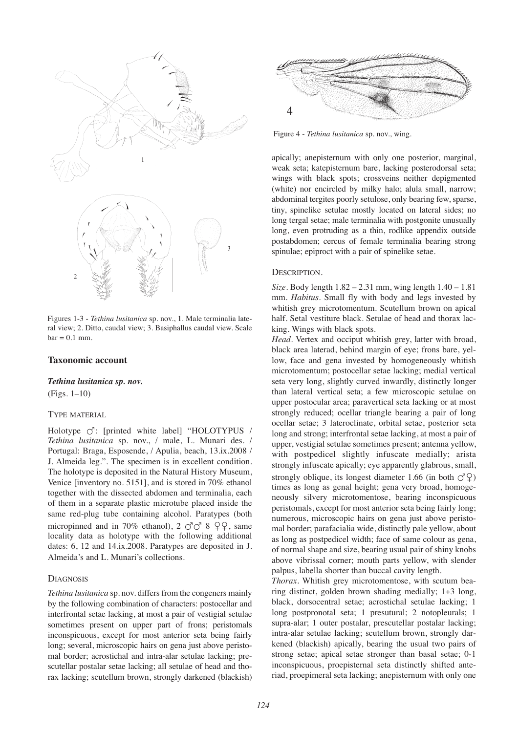

Figures 1-3 - *Tethina lusitanica* sp. nov., 1. Male terminalia lateral view; 2. Ditto, caudal view; 3. Basiphallus caudal view. Scale  $bar = 0.1$  mm.

# **Taxonomic account**

*Tethina lusitanica sp. nov.*

(Figs. 1–10)

## TYPE MATERIAL

Holotype  $\circlearrowleft$ : [printed white label] "HOLOTYPUS / *Tethina lusitanica* sp. nov., / male, L. Munari des. / Portugal: Braga, Esposende, / Apulia, beach, 13.ix.2008 / J. Almeida leg.". The specimen is in excellent condition. The holotype is deposited in the Natural History Museum, Venice [inventory no. 5151], and is stored in 70% ethanol together with the dissected abdomen and terminalia, each of them in a separate plastic microtube placed inside the same red-plug tube containing alcohol. Paratypes (both micropinned and in 70% ethanol), 2 8 --, same locality data as holotype with the following additional dates: 6, 12 and 14.ix.2008. Paratypes are deposited in J. Almeida's and L. Munari's collections.

# **DIAGNOSIS**

*Tethina lusitanica* sp. nov. differs from the congeners mainly by the following combination of characters: postocellar and interfrontal setae lacking, at most a pair of vestigial setulae sometimes present on upper part of frons; peristomals inconspicuous, except for most anterior seta being fairly long; several, microscopic hairs on gena just above peristomal border; acrostichal and intra-alar setulae lacking; prescutellar postalar setae lacking; all setulae of head and thorax lacking; scutellum brown, strongly darkened (blackish)



Figure 4 - *Tethina lusitanica* sp. nov., wing.

apically; anepisternum with only one posterior, marginal, weak seta; katepisternum bare, lacking posterodorsal seta; wings with black spots; crossveins neither depigmented (white) nor encircled by milky halo; alula small, narrow; abdominal tergites poorly setulose, only bearing few, sparse, tiny, spinelike setulae mostly located on lateral sides; no long tergal setae; male terminalia with postgonite unusually long, even protruding as a thin, rodlike appendix outside postabdomen; cercus of female terminalia bearing strong spinulae; epiproct with a pair of spinelike setae.

#### DESCRIPTION.

*Size.* Body length 1.82 – 2.31 mm, wing length 1.40 – 1.81 mm. *Habitus*. Small fly with body and legs invested by whitish grey microtomentum. Scutellum brown on apical half. Setal vestiture black. Setulae of head and thorax lacking. Wings with black spots.

*Head*. Vertex and occiput whitish grey, latter with broad, black area laterad, behind margin of eye; frons bare, yellow, face and gena invested by homogeneously whitish microtomentum; postocellar setae lacking; medial vertical seta very long, slightly curved inwardly, distinctly longer than lateral vertical seta; a few microscopic setulae on upper postocular area; paravertical seta lacking or at most strongly reduced; ocellar triangle bearing a pair of long ocellar setae; 3 lateroclinate, orbital setae, posterior seta long and strong; interfrontal setae lacking, at most a pair of upper, vestigial setulae sometimes present; antenna yellow, with postpedicel slightly infuscate medially; arista strongly infuscate apically; eye apparently glabrous, small, strongly oblique, its longest diameter 1.66 (in both  $\mathcal{O}^{\mathbb{Q}}(2)$ times as long as genal height; gena very broad, homogeneously silvery microtomentose, bearing inconspicuous peristomals, except for most anterior seta being fairly long; numerous, microscopic hairs on gena just above peristomal border; parafacialia wide, distinctly pale yellow, about as long as postpedicel width; face of same colour as gena, of normal shape and size, bearing usual pair of shiny knobs above vibrissal corner; mouth parts yellow, with slender palpus, labella shorter than buccal cavity length.

*Thorax*. Whitish grey microtomentose, with scutum bearing distinct, golden brown shading medially; 1+3 long, black, dorsocentral setae; acrostichal setulae lacking; 1 long postpronotal seta; 1 presutural; 2 notopleurals; 1 supra-alar; 1 outer postalar, prescutellar postalar lacking; intra-alar setulae lacking; scutellum brown, strongly darkened (blackish) apically, bearing the usual two pairs of strong setae; apical setae stronger than basal setae; 0-1 inconspicuous, proepisternal seta distinctly shifted anteriad, proepimeral seta lacking; anepisternum with only one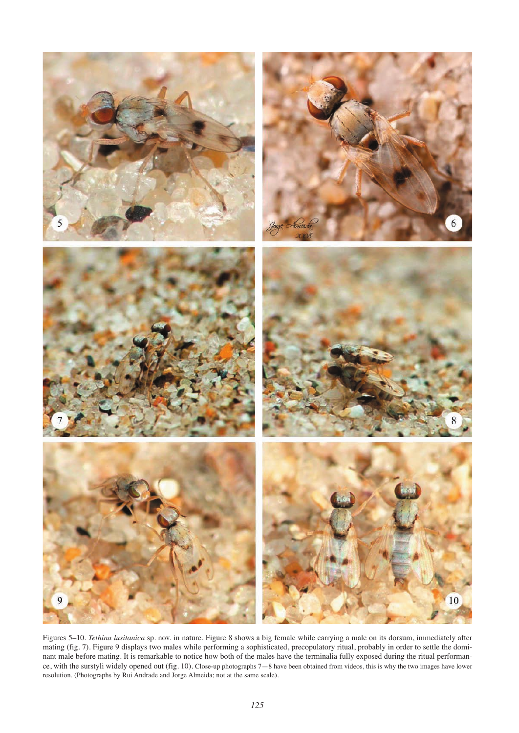

Figures 5–10. *Tethina lusitanica* sp. nov. in nature. Figure 8 shows a big female while carrying a male on its dorsum, immediately after mating (fig. 7). Figure 9 displays two males while performing a sophisticated, precopulatory ritual, probably in order to settle the dominant male before mating. It is remarkable to notice how both of the males have the terminalia fully exposed during the ritual performance, with the surstyli widely opened out (fig. 10). Close-up photographs 7—8 have been obtained from videos, this is why the two images have lower resolution. (Photographs by Rui Andrade and Jorge Almeida; not at the same scale).